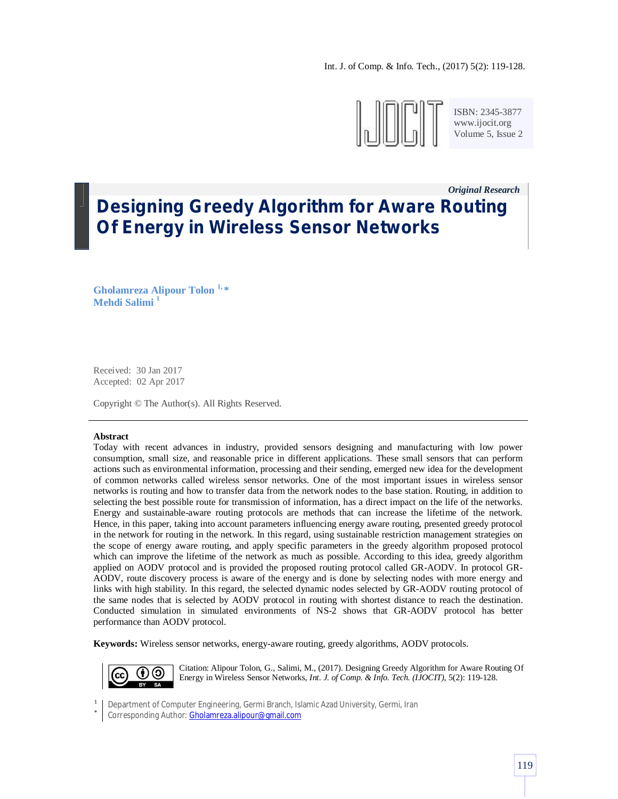

ISBN: 2345-3877 www.ijocit.org Volume 5, Issue 2

*Original Research\_\_*

# **Designing Greedy Algorithm for Aware Routing Of Energy in Wireless Sensor Networks**

**Gholamreza Alipour Tolon 1, \* Mehdi Salimi <sup>1</sup>**

Received: 30 Jan 2017 Accepted: 02 Apr 2017

Copyright © The Author(s). All Rights Reserved.

#### **Abstract**

Today with recent advances in industry, provided sensors designing and manufacturing with low power consumption, small size, and reasonable price in different applications. These small sensors that can perform actions such as environmental information, processing and their sending, emerged new idea for the development of common networks called wireless sensor networks. One of the most important issues in wireless sensor networks is routing and how to transfer data from the network nodes to the base station. Routing, in addition to selecting the best possible route for transmission of information, has a direct impact on the life of the networks. Energy and sustainable-aware routing protocols are methods that can increase the lifetime of the network. Hence, in this paper, taking into account parameters influencing energy aware routing, presented greedy protocol in the network for routing in the network. In this regard, using sustainable restriction management strategies on the scope of energy aware routing, and apply specific parameters in the greedy algorithm proposed protocol which can improve the lifetime of the network as much as possible. According to this idea, greedy algorithm applied on AODV protocol and is provided the proposed routing protocol called GR-AODV. In protocol GR-AODV, route discovery process is aware of the energy and is done by selecting nodes with more energy and links with high stability. In this regard, the selected dynamic nodes selected by GR-AODV routing protocol of the same nodes that is selected by AODV protocol in routing with shortest distance to reach the destination. Conducted simulation in simulated environments of NS-2 shows that GR-AODV protocol has better performance than AODV protocol.

**Keywords:** Wireless sensor networks, energy-aware routing, greedy algorithms, AODV protocols.



Citation: Alipour Tolon, G., Salimi, M., (2017). Designing Greedy Algorithm for Aware Routing Of Energy in Wireless Sensor Networks, *Int. J. of Comp. & Info. Tech. (IJOCIT)*, 5(2): 119-128.

1 Department of Computer Engineering, Germi Branch, Islamic Azad University, Germi, Iran

\* Corresponding Author: **Gholamreza.alipour@gmail.com**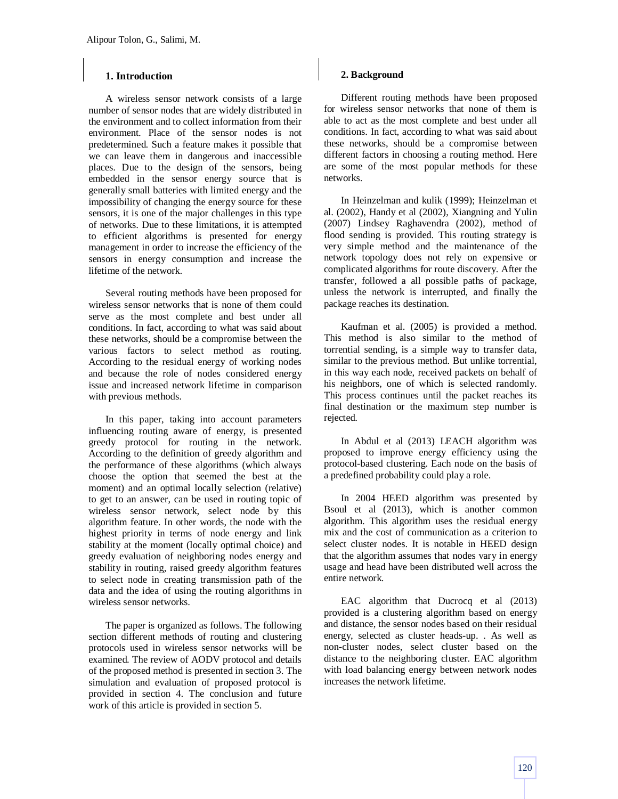# **1. Introduction**

A wireless sensor network consists of a large number of sensor nodes that are widely distributed in the environment and to collect information from their environment. Place of the sensor nodes is not predetermined. Such a feature makes it possible that we can leave them in dangerous and inaccessible places. Due to the design of the sensors, being embedded in the sensor energy source that is generally small batteries with limited energy and the impossibility of changing the energy source for these sensors, it is one of the major challenges in this type of networks. Due to these limitations, it is attempted to efficient algorithms is presented for energy management in order to increase the efficiency of the sensors in energy consumption and increase the lifetime of the network.

Several routing methods have been proposed for wireless sensor networks that is none of them could serve as the most complete and best under all conditions. In fact, according to what was said about these networks, should be a compromise between the various factors to select method as routing. According to the residual energy of working nodes and because the role of nodes considered energy issue and increased network lifetime in comparison with previous methods.

In this paper, taking into account parameters influencing routing aware of energy, is presented greedy protocol for routing in the network. According to the definition of greedy algorithm and the performance of these algorithms (which always choose the option that seemed the best at the moment) and an optimal locally selection (relative) to get to an answer, can be used in routing topic of wireless sensor network, select node by this algorithm feature. In other words, the node with the highest priority in terms of node energy and link stability at the moment (locally optimal choice) and greedy evaluation of neighboring nodes energy and stability in routing, raised greedy algorithm features to select node in creating transmission path of the data and the idea of using the routing algorithms in wireless sensor networks.

The paper is organized as follows. The following section different methods of routing and clustering protocols used in wireless sensor networks will be examined. The review of AODV protocol and details of the proposed method is presented in section 3. The simulation and evaluation of proposed protocol is provided in section 4. The conclusion and future work of this article is provided in section 5.

## **2. Background**

Different routing methods have been proposed for wireless sensor networks that none of them is able to act as the most complete and best under all conditions. In fact, according to what was said about these networks, should be a compromise between different factors in choosing a routing method. Here are some of the most popular methods for these networks.

In Heinzelman and kulik (1999); Heinzelman et al. (2002), Handy et al (2002), Xiangning and Yulin (2007) Lindsey Raghavendra (2002), method of flood sending is provided. This routing strategy is very simple method and the maintenance of the network topology does not rely on expensive or complicated algorithms for route discovery. After the transfer, followed a all possible paths of package, unless the network is interrupted, and finally the package reaches its destination.

Kaufman et al. (2005) is provided a method. This method is also similar to the method of torrential sending, is a simple way to transfer data, similar to the previous method. But unlike torrential, in this way each node, received packets on behalf of his neighbors, one of which is selected randomly. This process continues until the packet reaches its final destination or the maximum step number is rejected.

In Abdul et al (2013) LEACH algorithm was proposed to improve energy efficiency using the protocol-based clustering. Each node on the basis of a predefined probability could play a role.

In 2004 HEED algorithm was presented by Bsoul et al (2013), which is another common algorithm. This algorithm uses the residual energy mix and the cost of communication as a criterion to select cluster nodes. It is notable in HEED design that the algorithm assumes that nodes vary in energy usage and head have been distributed well across the entire network.

EAC algorithm that Ducrocq et al (2013) provided is a clustering algorithm based on energy and distance, the sensor nodes based on their residual energy, selected as cluster heads-up. . As well as non-cluster nodes, select cluster based on the distance to the neighboring cluster. EAC algorithm with load balancing energy between network nodes increases the network lifetime.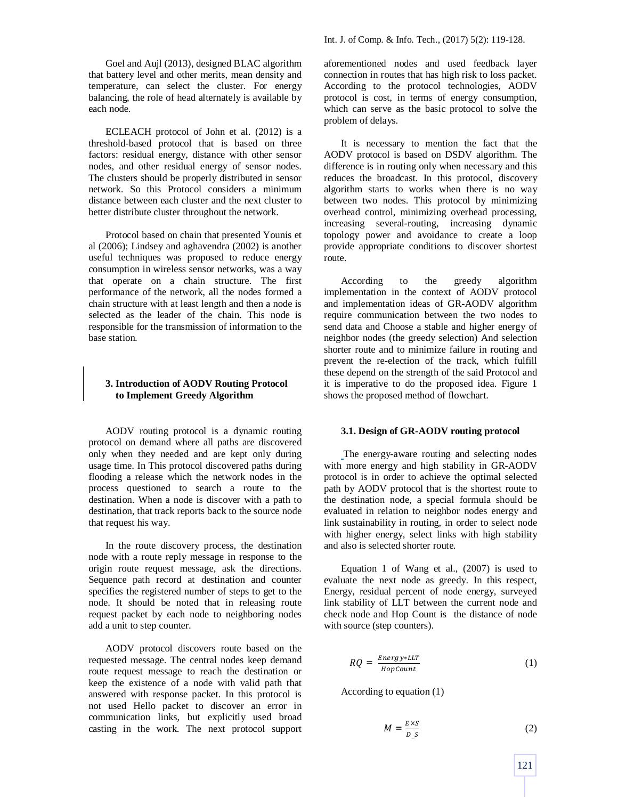Goel and Aujl (2013), designed BLAC algorithm that battery level and other merits, mean density and temperature, can select the cluster. For energy balancing, the role of head alternately is available by each node.

ECLEACH protocol of John et al. (2012) is a threshold-based protocol that is based on three factors: residual energy, distance with other sensor nodes, and other residual energy of sensor nodes. The clusters should be properly distributed in sensor network. So this Protocol considers a minimum distance between each cluster and the next cluster to better distribute cluster throughout the network.

Protocol based on chain that presented Younis et al (2006); Lindsey and aghavendra (2002) is another useful techniques was proposed to reduce energy consumption in wireless sensor networks, was a way that operate on a chain structure. The first performance of the network, all the nodes formed a chain structure with at least length and then a node is selected as the leader of the chain. This node is responsible for the transmission of information to the base station.

# **3. Introduction of AODV Routing Protocol to Implement Greedy Algorithm**

AODV routing protocol is a dynamic routing protocol on demand where all paths are discovered only when they needed and are kept only during usage time. In This protocol discovered paths during flooding a release which the network nodes in the process questioned to search a route to the destination. When a node is discover with a path to destination, that track reports back to the source node that request his way.

In the route discovery process, the destination node with a route reply message in response to the origin route request message, ask the directions. Sequence path record at destination and counter specifies the registered number of steps to get to the node. It should be noted that in releasing route request packet by each node to neighboring nodes add a unit to step counter.

AODV protocol discovers route based on the requested message. The central nodes keep demand route request message to reach the destination or keep the existence of a node with valid path that answered with response packet. In this protocol is not used Hello packet to discover an error in communication links, but explicitly used broad casting in the work. The next protocol support aforementioned nodes and used feedback layer connection in routes that has high risk to loss packet. According to the protocol technologies, AODV protocol is cost, in terms of energy consumption, which can serve as the basic protocol to solve the problem of delays.

It is necessary to mention the fact that the AODV protocol is based on DSDV algorithm. The difference is in routing only when necessary and this reduces the broadcast. In this protocol, discovery algorithm starts to works when there is no way between two nodes. This protocol by minimizing overhead control, minimizing overhead processing, increasing several-routing, increasing dynamic topology power and avoidance to create a loop provide appropriate conditions to discover shortest route.

According to the greedy algorithm implementation in the context of AODV protocol and implementation ideas of GR-AODV algorithm require communication between the two nodes to send data and Choose a stable and higher energy of neighbor nodes (the greedy selection) And selection shorter route and to minimize failure in routing and prevent the re-election of the track, which fulfill these depend on the strength of the said Protocol and it is imperative to do the proposed idea. Figure 1 shows the proposed method of flowchart.

#### **3.1. Design of GR-AODV routing protocol**

The energy-aware routing and selecting nodes with more energy and high stability in GR-AODV protocol is in order to achieve the optimal selected path by AODV protocol that is the shortest route to the destination node, a special formula should be evaluated in relation to neighbor nodes energy and link sustainability in routing, in order to select node with higher energy, select links with high stability and also is selected shorter route.

Equation 1 of Wang et al., (2007) is used to evaluate the next node as greedy. In this respect, Energy, residual percent of node energy, surveyed link stability of LLT between the current node and check node and Hop Count is the distance of node with source (step counters).

$$
RQ = \frac{Energy*LLT}{HopCount}
$$
 (1)

According to equation (1)

$$
M = \frac{E \times S}{D_{-}S} \tag{2}
$$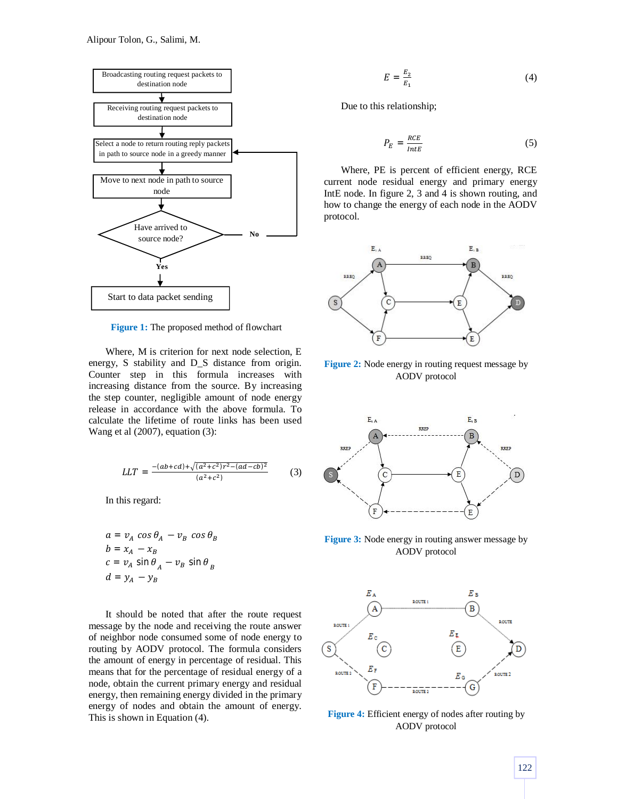

**Figure 1:** The proposed method of flowchart

Where, M is criterion for next node selection, E energy, S stability and D\_S distance from origin. Counter step in this formula increases with increasing distance from the source. By increasing the step counter, negligible amount of node energy release in accordance with the above formula. To calculate the lifetime of route links has been used Wang et al (2007), equation (3):

$$
LLT = \frac{-(ab+cd)+\sqrt{(a^2+c^2)r^2-(ad-cb)^2}}{(a^2+c^2)}
$$
(3)

In this regard:

$$
a = v_A \cos \theta_A - v_B \cos \theta_B
$$
  
\n
$$
b = x_A - x_B
$$
  
\n
$$
c = v_A \sin \theta_A - v_B \sin \theta_B
$$
  
\n
$$
d = y_A - y_B
$$

It should be noted that after the route request message by the node and receiving the route answer of neighbor node consumed some of node energy to routing by AODV protocol. The formula considers the amount of energy in percentage of residual. This means that for the percentage of residual energy of a node, obtain the current primary energy and residual energy, then remaining energy divided in the primary energy of nodes and obtain the amount of energy. This is shown in Equation (4).

$$
E = \frac{E_2}{E_1} \tag{4}
$$

Due to this relationship;

$$
P_E = \frac{RCE}{IntE} \tag{5}
$$

Where, PE is percent of efficient energy, RCE current node residual energy and primary energy IntE node. In figure 2, 3 and 4 is shown routing, and how to change the energy of each node in the AODV protocol.



**Figure 2:** Node energy in routing request message by AODV protocol



**Figure 3:** Node energy in routing answer message by AODV protocol



Figure 4: Efficient energy of nodes after routing by AODV protocol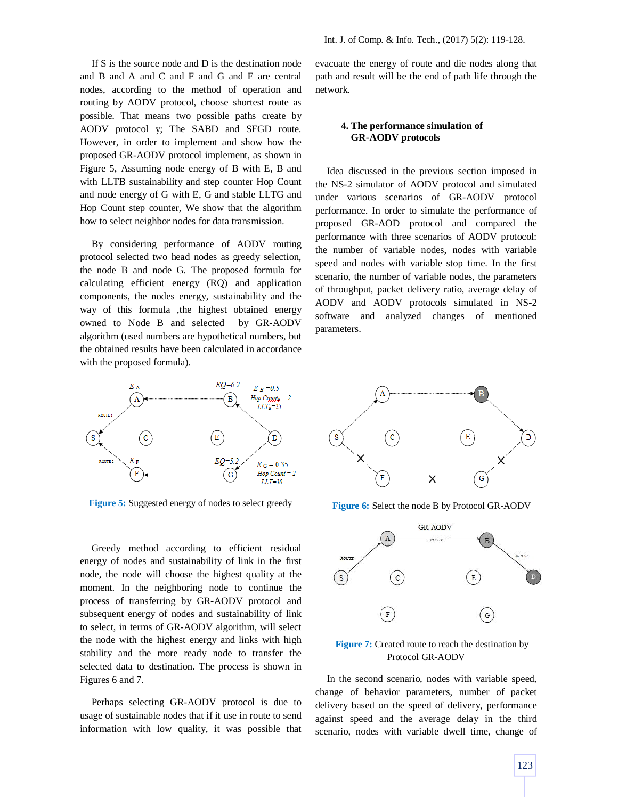If S is the source node and D is the destination node and B and A and C and F and G and E are central nodes, according to the method of operation and routing by AODV protocol, choose shortest route as possible. That means two possible paths create by AODV protocol y; The SABD and SFGD route. However, in order to implement and show how the proposed GR-AODV protocol implement, as shown in Figure 5, Assuming node energy of B with E, B and with LLTB sustainability and step counter Hop Count and node energy of G with E, G and stable LLTG and Hop Count step counter, We show that the algorithm how to select neighbor nodes for data transmission.

By considering performance of AODV routing protocol selected two head nodes as greedy selection, the node B and node G. The proposed formula for calculating efficient energy (RQ) and application components, the nodes energy, sustainability and the way of this formula ,the highest obtained energy owned to Node B and selected by GR-AODV algorithm (used numbers are hypothetical numbers, but the obtained results have been calculated in accordance with the proposed formula).



**Figure 5:** Suggested energy of nodes to select greedy

Greedy method according to efficient residual energy of nodes and sustainability of link in the first node, the node will choose the highest quality at the moment. In the neighboring node to continue the process of transferring by GR-AODV protocol and subsequent energy of nodes and sustainability of link to select, in terms of GR-AODV algorithm, will select the node with the highest energy and links with high stability and the more ready node to transfer the selected data to destination. The process is shown in Figures 6 and 7.

Perhaps selecting GR-AODV protocol is due to usage of sustainable nodes that if it use in route to send information with low quality, it was possible that evacuate the energy of route and die nodes along that path and result will be the end of path life through the network.

## **4. The performance simulation of GR-AODV protocols**

Idea discussed in the previous section imposed in the NS-2 simulator of AODV protocol and simulated under various scenarios of GR-AODV protocol performance. In order to simulate the performance of proposed GR-AOD protocol and compared the performance with three scenarios of AODV protocol: the number of variable nodes, nodes with variable speed and nodes with variable stop time. In the first scenario, the number of variable nodes, the parameters of throughput, packet delivery ratio, average delay of AODV and AODV protocols simulated in NS-2 software and analyzed changes of mentioned parameters.



**Figure 6:** Select the node B by Protocol GR-AODV



**Figure 7:** Created route to reach the destination by Protocol GR-AODV

In the second scenario, nodes with variable speed, change of behavior parameters, number of packet delivery based on the speed of delivery, performance against speed and the average delay in the third scenario, nodes with variable dwell time, change of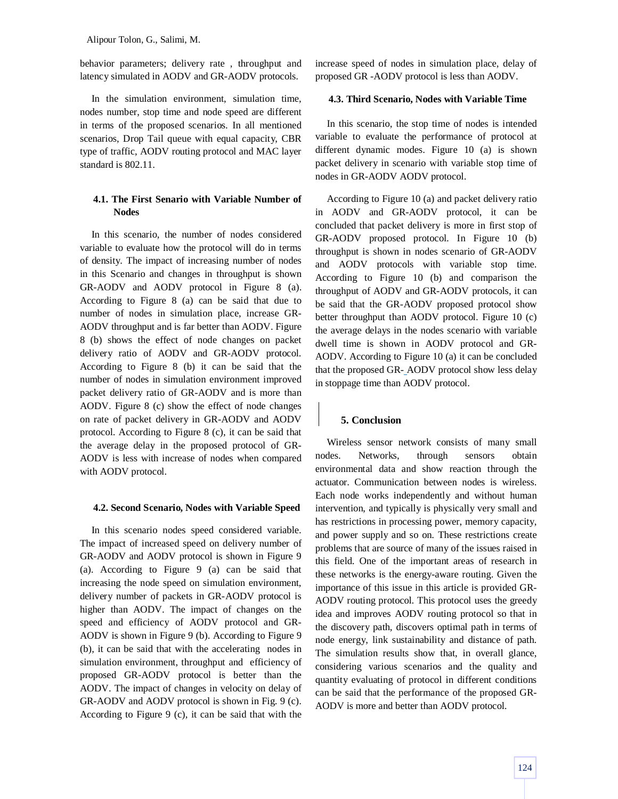Alipour Tolon, G., Salimi, M.

behavior parameters; delivery rate , throughput and latency simulated in AODV and GR-AODV protocols.

In the simulation environment, simulation time, nodes number, stop time and node speed are different in terms of the proposed scenarios. In all mentioned scenarios, Drop Tail queue with equal capacity, CBR type of traffic, AODV routing protocol and MAC layer standard is 802.11.

# **4.1. The First Senario with Variable Number of Nodes**

In this scenario, the number of nodes considered variable to evaluate how the protocol will do in terms of density. The impact of increasing number of nodes in this Scenario and changes in throughput is shown GR-AODV and AODV protocol in Figure 8 (a). According to Figure 8 (a) can be said that due to number of nodes in simulation place, increase GR-AODV throughput and is far better than AODV. Figure 8 (b) shows the effect of node changes on packet delivery ratio of AODV and GR-AODV protocol. According to Figure 8 (b) it can be said that the number of nodes in simulation environment improved packet delivery ratio of GR-AODV and is more than AODV. Figure 8 (c) show the effect of node changes on rate of packet delivery in GR-AODV and AODV protocol. According to Figure 8 (c), it can be said that the average delay in the proposed protocol of GR-AODV is less with increase of nodes when compared with AODV protocol.

## **4.2. Second Scenario, Nodes with Variable Speed**

In this scenario nodes speed considered variable. The impact of increased speed on delivery number of GR-AODV and AODV protocol is shown in Figure 9 (a). According to Figure 9 (a) can be said that increasing the node speed on simulation environment, delivery number of packets in GR-AODV protocol is higher than AODV. The impact of changes on the speed and efficiency of AODV protocol and GR-AODV is shown in Figure 9 (b). According to Figure 9 (b), it can be said that with the accelerating nodes in simulation environment, throughput and efficiency of proposed GR-AODV protocol is better than the AODV. The impact of changes in velocity on delay of GR-AODV and AODV protocol is shown in Fig. 9 (c). According to Figure 9 (c), it can be said that with the

increase speed of nodes in simulation place, delay of proposed GR -AODV protocol is less than AODV.

#### **4.3. Third Scenario, Nodes with Variable Time**

In this scenario, the stop time of nodes is intended variable to evaluate the performance of protocol at different dynamic modes. Figure 10 (a) is shown packet delivery in scenario with variable stop time of nodes in GR-AODV AODV protocol.

According to Figure 10 (a) and packet delivery ratio in AODV and GR-AODV protocol, it can be concluded that packet delivery is more in first stop of GR-AODV proposed protocol. In Figure 10 (b) throughput is shown in nodes scenario of GR-AODV and AODV protocols with variable stop time. According to Figure 10 (b) and comparison the throughput of AODV and GR-AODV protocols, it can be said that the GR-AODV proposed protocol show better throughput than AODV protocol. Figure 10 (c) the average delays in the nodes scenario with variable dwell time is shown in AODV protocol and GR-AODV. According to Figure 10 (a) it can be concluded that the proposed GR- AODV protocol show less delay in stoppage time than AODV protocol.

# **5. Conclusion**

Wireless sensor network consists of many small nodes. Networks, through sensors obtain environmental data and show reaction through the actuator. Communication between nodes is wireless. Each node works independently and without human intervention, and typically is physically very small and has restrictions in processing power, memory capacity, and power supply and so on. These restrictions create problems that are source of many of the issues raised in this field. One of the important areas of research in these networks is the energy-aware routing. Given the importance of this issue in this article is provided GR-AODV routing protocol. This protocol uses the greedy idea and improves AODV routing protocol so that in the discovery path, discovers optimal path in terms of node energy, link sustainability and distance of path. The simulation results show that, in overall glance, considering various scenarios and the quality and quantity evaluating of protocol in different conditions can be said that the performance of the proposed GR-AODV is more and better than AODV protocol.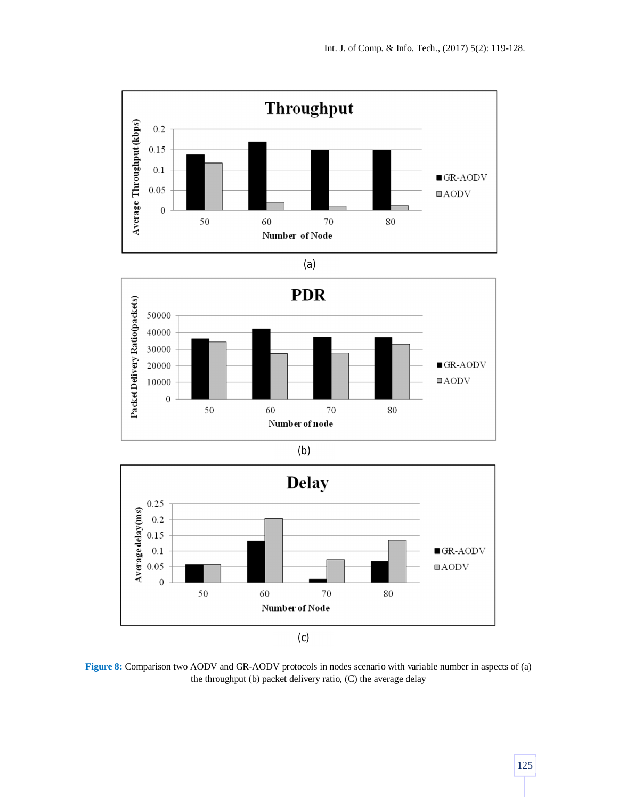









**Figure 8:** Comparison two AODV and GR-AODV protocols in nodes scenario with variable number in aspects of (a) the throughput (b) packet delivery ratio, (C) the average delay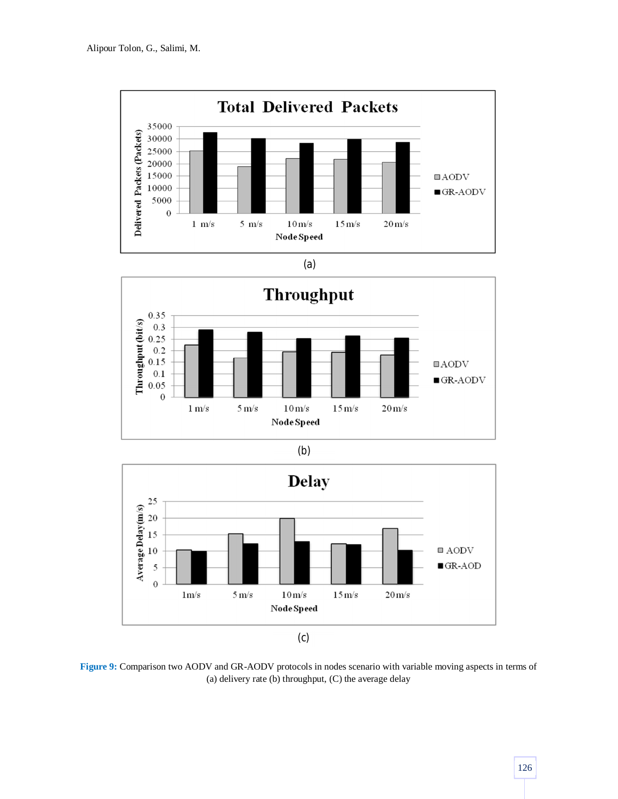









**Figure 9:** Comparison two AODV and GR-AODV protocols in nodes scenario with variable moving aspects in terms of (a) delivery rate (b) throughput, (C) the average delay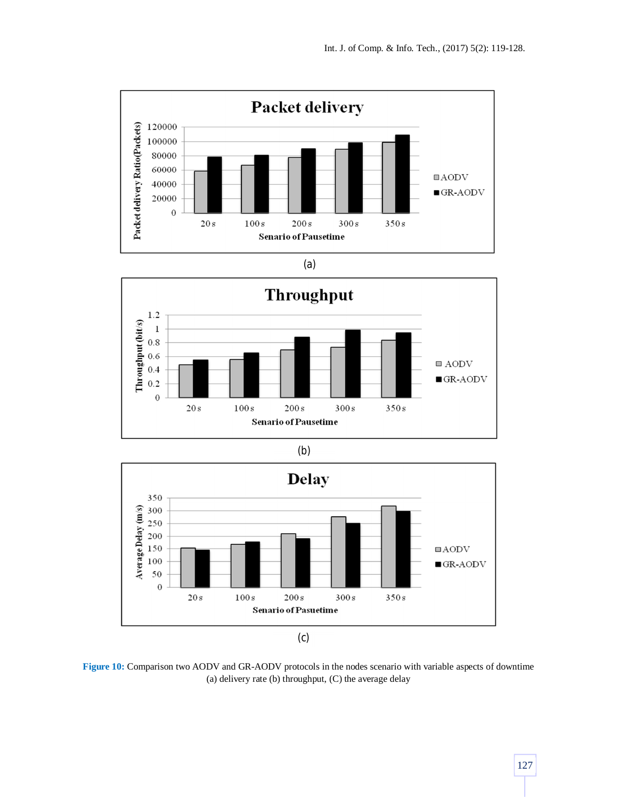









**Figure 10:** Comparison two AODV and GR-AODV protocols in the nodes scenario with variable aspects of downtime (a) delivery rate (b) throughput, (C) the average delay